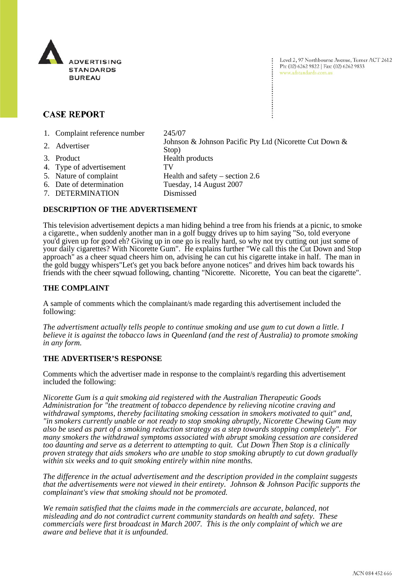

Level 2, 97 Northbourne Avenue, Turner ACT 2612 Ph: (02) 6262 9822 | Fax: (02) 6262 9833 www.adstandards.com.au

# **CASE REPORT**

1. Complaint reference number 245/07

2. Advertiser Johnson & Johnson Pacific Pty Ltd (Nicorette Cut Down & Stop) 3. Product Health products 4. Type of advertisement TV 5. Nature of complaint Health and safety – section 2.6 6. Date of determination Tuesday, 14 August 2007 7. DETERMINATION Dismissed

## **DESCRIPTION OF THE ADVERTISEMENT**

This television advertisement depicts a man hiding behind a tree from his friends at a picnic, to smoke a cigarette., when suddenly another man in a golf buggy drives up to him saying "So, told everyone you'd given up for good eh? Giving up in one go is really hard, so why not try cutting out just some of your daily cigarettes? With Nicorette Gum". He explains further "We call this the Cut Down and Stop approach" as a cheer squad cheers him on, advising he can cut his cigarette intake in half. The man in the gold buggy whispers"Let's get you back before anyone notices" and drives him back towards his friends with the cheer sqwuad following, chanting "Nicorette. Nicorette, You can beat the cigarette".

### **THE COMPLAINT**

A sample of comments which the complainant/s made regarding this advertisement included the following:

*The advertisment actually tells people to continue smoking and use gum to cut down a little. I believe it is against the tobacco laws in Queenland (and the rest of Australia) to promote smoking in any form.* 

## **THE ADVERTISER'S RESPONSE**

Comments which the advertiser made in response to the complaint/s regarding this advertisement included the following:

*Nicorette Gum is a quit smoking aid registered with the Australian Therapeutic Goods Administration for "the treatment of tobacco dependence by relieving nicotine craving and withdrawal symptoms, thereby facilitating smoking cessation in smokers motivated to quit" and, "in smokers currently unable or not ready to stop smoking abruptly, Nicorette Chewing Gum may also be used as part of a smoking reduction strategy as a step towards stopping completely". For many smokers the withdrawal symptoms associated with abrupt smoking cessation are considered too daunting and serve as a deterrent to attempting to quit. Cut Down Then Stop is a clinically proven strategy that aids smokers who are unable to stop smoking abruptly to cut down gradually within six weeks and to quit smoking entirely within nine months.*

*The difference in the actual advertisement and the description provided in the complaint suggests that the advertisements were not viewed in their entirety. Johnson & Johnson Pacific supports the complainant's view that smoking should not be promoted.* 

*We remain satisfied that the claims made in the commercials are accurate, balanced, not misleading and do not contradict current community standards on health and safety. These commercials were first broadcast in March 2007. This is the only complaint of which we are aware and believe that it is unfounded.*